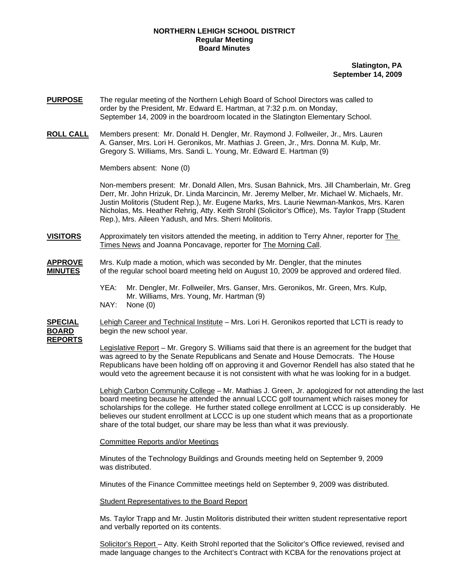## **NORTHERN LEHIGH SCHOOL DISTRICT Regular Meeting Board Minutes**

**Slatington, PA September 14, 2009**

- **PURPOSE** The regular meeting of the Northern Lehigh Board of School Directors was called to order by the President, Mr. Edward E. Hartman, at 7:32 p.m. on Monday, September 14, 2009 in the boardroom located in the Slatington Elementary School.
- **ROLL CALL** Members present: Mr. Donald H. Dengler, Mr. Raymond J. Follweiler, Jr., Mrs. Lauren A. Ganser, Mrs. Lori H. Geronikos, Mr. Mathias J. Green, Jr., Mrs. Donna M. Kulp, Mr. Gregory S. Williams, Mrs. Sandi L. Young, Mr. Edward E. Hartman (9)

Members absent: None (0)

Non-members present: Mr. Donald Allen, Mrs. Susan Bahnick, Mrs. Jill Chamberlain, Mr. Greg Derr, Mr. John Hrizuk, Dr. Linda Marcincin, Mr. Jeremy Melber, Mr. Michael W. Michaels, Mr. Justin Molitoris (Student Rep.), Mr. Eugene Marks, Mrs. Laurie Newman-Mankos, Mrs. Karen Nicholas, Ms. Heather Rehrig, Atty. Keith Strohl (Solicitor's Office), Ms. Taylor Trapp (Student Rep.), Mrs. Aileen Yadush, and Mrs. Sherri Molitoris.

**VISITORS** Approximately ten visitors attended the meeting, in addition to Terry Ahner, reporter for The Times News and Joanna Poncavage, reporter for The Morning Call.

**APPROVE** Mrs. Kulp made a motion, which was seconded by Mr. Dengler, that the minutes **MINUTES** of the regular school board meeting held on August 10, 2009 be approved and ordered filed.

> YEA: Mr. Dengler, Mr. Follweiler, Mrs. Ganser, Mrs. Geronikos, Mr. Green, Mrs. Kulp, Mr. Williams, Mrs. Young, Mr. Hartman (9)

NAY: None (0)

**SPECIAL** Lehigh Career and Technical Institute – Mrs. Lori H. Geronikos reported that LCTI is ready to **BOARD** begin the new school year.

**REPORTS**

Legislative Report – Mr. Gregory S. Williams said that there is an agreement for the budget that was agreed to by the Senate Republicans and Senate and House Democrats. The House Republicans have been holding off on approving it and Governor Rendell has also stated that he would veto the agreement because it is not consistent with what he was looking for in a budget.

Lehigh Carbon Community College – Mr. Mathias J. Green, Jr. apologized for not attending the last board meeting because he attended the annual LCCC golf tournament which raises money for scholarships for the college. He further stated college enrollment at LCCC is up considerably. He believes our student enrollment at LCCC is up one student which means that as a proportionate share of the total budget, our share may be less than what it was previously.

## Committee Reports and/or Meetings

Minutes of the Technology Buildings and Grounds meeting held on September 9, 2009 was distributed.

Minutes of the Finance Committee meetings held on September 9, 2009 was distributed.

Student Representatives to the Board Report

 Ms. Taylor Trapp and Mr. Justin Molitoris distributed their written student representative report and verbally reported on its contents.

Solicitor's Report - Atty. Keith Strohl reported that the Solicitor's Office reviewed, revised and made language changes to the Architect's Contract with KCBA for the renovations project at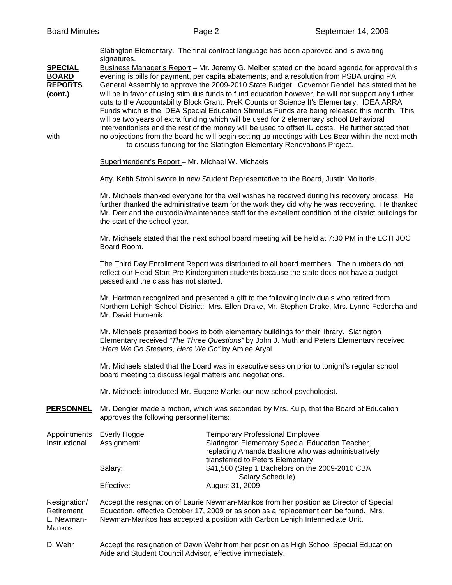|                                                                     | signatures.                                                                                                                                                                                                                                                                                                                                 | Slatington Elementary. The final contract language has been approved and is awaiting                                                                                                                                                                                                                                                                                                                                                                                                                                                                                                                                                                                                                                                                                                                                                                                                                                                                                          |  |
|---------------------------------------------------------------------|---------------------------------------------------------------------------------------------------------------------------------------------------------------------------------------------------------------------------------------------------------------------------------------------------------------------------------------------|-------------------------------------------------------------------------------------------------------------------------------------------------------------------------------------------------------------------------------------------------------------------------------------------------------------------------------------------------------------------------------------------------------------------------------------------------------------------------------------------------------------------------------------------------------------------------------------------------------------------------------------------------------------------------------------------------------------------------------------------------------------------------------------------------------------------------------------------------------------------------------------------------------------------------------------------------------------------------------|--|
| <b>SPECIAL</b><br><b>BOARD</b><br><b>REPORTS</b><br>(cont.)<br>with |                                                                                                                                                                                                                                                                                                                                             | Business Manager's Report – Mr. Jeremy G. Melber stated on the board agenda for approval this<br>evening is bills for payment, per capita abatements, and a resolution from PSBA urging PA<br>General Assembly to approve the 2009-2010 State Budget. Governor Rendell has stated that he<br>will be in favor of using stimulus funds to fund education however, he will not support any further<br>cuts to the Accountability Block Grant, PreK Counts or Science It's Elementary. IDEA ARRA<br>Funds which is the IDEA Special Education Stimulus Funds are being released this month. This<br>will be two years of extra funding which will be used for 2 elementary school Behavioral<br>Interventionists and the rest of the money will be used to offset IU costs. He further stated that<br>no objections from the board he will begin setting up meetings with Les Bear within the next moth<br>to discuss funding for the Slatington Elementary Renovations Project. |  |
|                                                                     | Superintendent's Report - Mr. Michael W. Michaels                                                                                                                                                                                                                                                                                           |                                                                                                                                                                                                                                                                                                                                                                                                                                                                                                                                                                                                                                                                                                                                                                                                                                                                                                                                                                               |  |
|                                                                     | Atty. Keith Strohl swore in new Student Representative to the Board, Justin Molitoris.                                                                                                                                                                                                                                                      |                                                                                                                                                                                                                                                                                                                                                                                                                                                                                                                                                                                                                                                                                                                                                                                                                                                                                                                                                                               |  |
|                                                                     | Mr. Michaels thanked everyone for the well wishes he received during his recovery process. He<br>further thanked the administrative team for the work they did why he was recovering. He thanked<br>Mr. Derr and the custodial/maintenance staff for the excellent condition of the district buildings for<br>the start of the school year. |                                                                                                                                                                                                                                                                                                                                                                                                                                                                                                                                                                                                                                                                                                                                                                                                                                                                                                                                                                               |  |
|                                                                     | Mr. Michaels stated that the next school board meeting will be held at 7:30 PM in the LCTI JOC<br>Board Room.                                                                                                                                                                                                                               |                                                                                                                                                                                                                                                                                                                                                                                                                                                                                                                                                                                                                                                                                                                                                                                                                                                                                                                                                                               |  |
|                                                                     | The Third Day Enrollment Report was distributed to all board members. The numbers do not<br>reflect our Head Start Pre Kindergarten students because the state does not have a budget<br>passed and the class has not started.                                                                                                              |                                                                                                                                                                                                                                                                                                                                                                                                                                                                                                                                                                                                                                                                                                                                                                                                                                                                                                                                                                               |  |
|                                                                     | Mr. Hartman recognized and presented a gift to the following individuals who retired from<br>Northern Lehigh School District: Mrs. Ellen Drake, Mr. Stephen Drake, Mrs. Lynne Fedorcha and<br>Mr. David Humenik.                                                                                                                            |                                                                                                                                                                                                                                                                                                                                                                                                                                                                                                                                                                                                                                                                                                                                                                                                                                                                                                                                                                               |  |
|                                                                     | Mr. Michaels presented books to both elementary buildings for their library. Slatington<br>Elementary received "The Three Questions" by John J. Muth and Peters Elementary received<br>"Here We Go Steelers, Here We Go" by Amiee Aryal.                                                                                                    |                                                                                                                                                                                                                                                                                                                                                                                                                                                                                                                                                                                                                                                                                                                                                                                                                                                                                                                                                                               |  |
|                                                                     | Mr. Michaels stated that the board was in executive session prior to tonight's regular school<br>board meeting to discuss legal matters and negotiations.                                                                                                                                                                                   |                                                                                                                                                                                                                                                                                                                                                                                                                                                                                                                                                                                                                                                                                                                                                                                                                                                                                                                                                                               |  |
|                                                                     | Mr. Michaels introduced Mr. Eugene Marks our new school psychologist.                                                                                                                                                                                                                                                                       |                                                                                                                                                                                                                                                                                                                                                                                                                                                                                                                                                                                                                                                                                                                                                                                                                                                                                                                                                                               |  |
| <b>PERSONNEL</b>                                                    | Mr. Dengler made a motion, which was seconded by Mrs. Kulp, that the Board of Education<br>approves the following personnel items:                                                                                                                                                                                                          |                                                                                                                                                                                                                                                                                                                                                                                                                                                                                                                                                                                                                                                                                                                                                                                                                                                                                                                                                                               |  |
| Appointments<br>Instructional                                       | Everly Hogge<br>Assignment:                                                                                                                                                                                                                                                                                                                 | <b>Temporary Professional Employee</b><br>Slatington Elementary Special Education Teacher,<br>replacing Amanda Bashore who was administratively<br>transferred to Peters Elementary                                                                                                                                                                                                                                                                                                                                                                                                                                                                                                                                                                                                                                                                                                                                                                                           |  |
|                                                                     | Salary:                                                                                                                                                                                                                                                                                                                                     | \$41,500 (Step 1 Bachelors on the 2009-2010 CBA                                                                                                                                                                                                                                                                                                                                                                                                                                                                                                                                                                                                                                                                                                                                                                                                                                                                                                                               |  |
|                                                                     | Effective:                                                                                                                                                                                                                                                                                                                                  | Salary Schedule)<br>August 31, 2009                                                                                                                                                                                                                                                                                                                                                                                                                                                                                                                                                                                                                                                                                                                                                                                                                                                                                                                                           |  |
| Resignation/<br>Retirement<br>L. Newman-<br>Mankos                  |                                                                                                                                                                                                                                                                                                                                             | Accept the resignation of Laurie Newman-Mankos from her position as Director of Special<br>Education, effective October 17, 2009 or as soon as a replacement can be found. Mrs.<br>Newman-Mankos has accepted a position with Carbon Lehigh Intermediate Unit.                                                                                                                                                                                                                                                                                                                                                                                                                                                                                                                                                                                                                                                                                                                |  |
| D. Wehr                                                             |                                                                                                                                                                                                                                                                                                                                             | Accept the resignation of Dawn Wehr from her position as High School Special Education                                                                                                                                                                                                                                                                                                                                                                                                                                                                                                                                                                                                                                                                                                                                                                                                                                                                                        |  |

Aide and Student Council Advisor, effective immediately.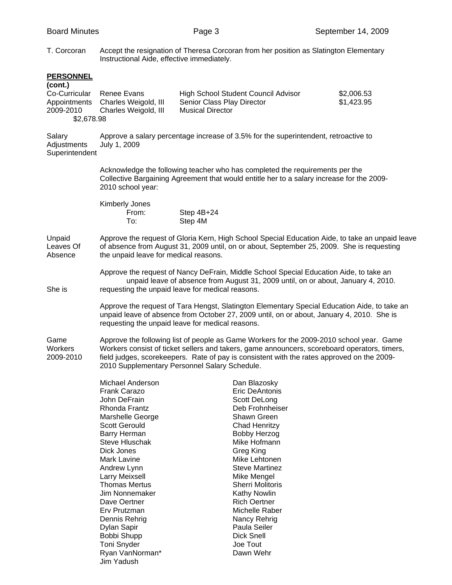T. Corcoran Accept the resignation of Theresa Corcoran from her position as Slatington Elementary Instructional Aide, effective immediately.

| <b>PERSONNEL</b><br>(cont.)<br>Co-Curricular<br>Appointments<br>2009-2010<br>\$2,678.98 | Renee Evans<br>Charles Weigold, III<br>Charles Weigold, III                                                                                                                                                                                                                                                                                                                                                        | High School Student Council Advisor<br>Senior Class Play Director<br><b>Musical Director</b>                                                                                                                                                                                                                                                                                     | \$2,006.53<br>\$1,423.95 |  |
|-----------------------------------------------------------------------------------------|--------------------------------------------------------------------------------------------------------------------------------------------------------------------------------------------------------------------------------------------------------------------------------------------------------------------------------------------------------------------------------------------------------------------|----------------------------------------------------------------------------------------------------------------------------------------------------------------------------------------------------------------------------------------------------------------------------------------------------------------------------------------------------------------------------------|--------------------------|--|
| Salary<br>Adjustments<br>Superintendent                                                 | Approve a salary percentage increase of 3.5% for the superintendent, retroactive to<br>July 1, 2009                                                                                                                                                                                                                                                                                                                |                                                                                                                                                                                                                                                                                                                                                                                  |                          |  |
|                                                                                         | 2010 school year:                                                                                                                                                                                                                                                                                                                                                                                                  | Acknowledge the following teacher who has completed the requirements per the<br>Collective Bargaining Agreement that would entitle her to a salary increase for the 2009-                                                                                                                                                                                                        |                          |  |
|                                                                                         | Kimberly Jones<br>From:<br>To:                                                                                                                                                                                                                                                                                                                                                                                     | Step 4B+24<br>Step 4M                                                                                                                                                                                                                                                                                                                                                            |                          |  |
| Unpaid<br>Leaves Of<br>Absence                                                          | the unpaid leave for medical reasons.                                                                                                                                                                                                                                                                                                                                                                              | Approve the request of Gloria Kern, High School Special Education Aide, to take an unpaid leave<br>of absence from August 31, 2009 until, on or about, September 25, 2009. She is requesting                                                                                                                                                                                     |                          |  |
| She is                                                                                  |                                                                                                                                                                                                                                                                                                                                                                                                                    | Approve the request of Nancy DeFrain, Middle School Special Education Aide, to take an<br>unpaid leave of absence from August 31, 2009 until, on or about, January 4, 2010.<br>requesting the unpaid leave for medical reasons.                                                                                                                                                  |                          |  |
|                                                                                         |                                                                                                                                                                                                                                                                                                                                                                                                                    | Approve the request of Tara Hengst, Slatington Elementary Special Education Aide, to take an<br>unpaid leave of absence from October 27, 2009 until, on or about, January 4, 2010. She is<br>requesting the unpaid leave for medical reasons.                                                                                                                                    |                          |  |
| Game<br>Workers<br>2009-2010                                                            | Approve the following list of people as Game Workers for the 2009-2010 school year. Game<br>Workers consist of ticket sellers and takers, game announcers, scoreboard operators, timers,<br>field judges, scorekeepers. Rate of pay is consistent with the rates approved on the 2009-<br>2010 Supplementary Personnel Salary Schedule.                                                                            |                                                                                                                                                                                                                                                                                                                                                                                  |                          |  |
|                                                                                         | <b>Michael Anderson</b><br>Frank Carazo<br>John DeFrain<br>Rhonda Frantz<br>Marshelle George<br><b>Scott Gerould</b><br>Barry Herman<br><b>Steve Hluschak</b><br>Dick Jones<br>Mark Lavine<br>Andrew Lynn<br>Larry Meixsell<br><b>Thomas Mertus</b><br><b>Jim Nonnemaker</b><br>Dave Oertner<br>Erv Prutzman<br>Dennis Rehrig<br>Dylan Sapir<br>Bobbi Shupp<br><b>Toni Snyder</b><br>Ryan VanNorman*<br>Jim Yadush | Dan Blazosky<br>Eric DeAntonis<br>Scott DeLong<br>Deb Frohnheiser<br>Shawn Green<br><b>Chad Henritzy</b><br><b>Bobby Herzog</b><br>Mike Hofmann<br>Greg King<br>Mike Lehtonen<br><b>Steve Martinez</b><br>Mike Mengel<br><b>Sherri Molitoris</b><br>Kathy Nowlin<br><b>Rich Oertner</b><br>Michelle Raber<br>Nancy Rehrig<br>Paula Seiler<br>Dick Snell<br>Joe Tout<br>Dawn Wehr |                          |  |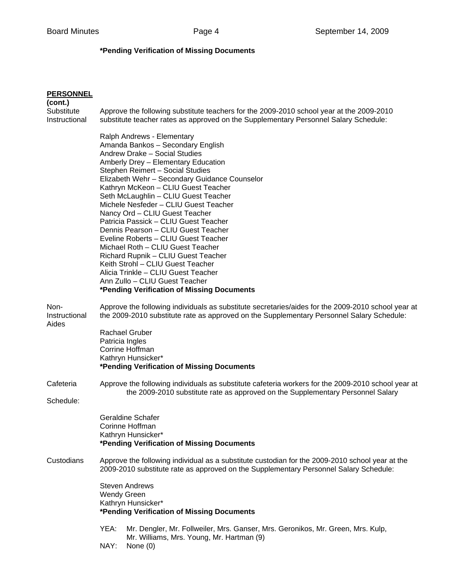## **\*Pending Verification of Missing Documents**

| <b>PERSONNEL</b>                       |                                                                                                                                                                                                                                                                                                                                                                                                                                                                                                                                                                                                                                                                                                                                                        |
|----------------------------------------|--------------------------------------------------------------------------------------------------------------------------------------------------------------------------------------------------------------------------------------------------------------------------------------------------------------------------------------------------------------------------------------------------------------------------------------------------------------------------------------------------------------------------------------------------------------------------------------------------------------------------------------------------------------------------------------------------------------------------------------------------------|
| (cont.)<br>Substitute<br>Instructional | Approve the following substitute teachers for the 2009-2010 school year at the 2009-2010<br>substitute teacher rates as approved on the Supplementary Personnel Salary Schedule:                                                                                                                                                                                                                                                                                                                                                                                                                                                                                                                                                                       |
|                                        | Ralph Andrews - Elementary<br>Amanda Bankos - Secondary English<br>Andrew Drake - Social Studies<br>Amberly Drey - Elementary Education<br>Stephen Reimert - Social Studies<br>Elizabeth Wehr - Secondary Guidance Counselor<br>Kathryn McKeon - CLIU Guest Teacher<br>Seth McLaughlin - CLIU Guest Teacher<br>Michele Nesfeder - CLIU Guest Teacher<br>Nancy Ord - CLIU Guest Teacher<br>Patricia Passick - CLIU Guest Teacher<br>Dennis Pearson - CLIU Guest Teacher<br>Eveline Roberts - CLIU Guest Teacher<br>Michael Roth - CLIU Guest Teacher<br>Richard Rupnik - CLIU Guest Teacher<br>Keith Strohl - CLIU Guest Teacher<br>Alicia Trinkle - CLIU Guest Teacher<br>Ann Zullo - CLIU Guest Teacher<br>*Pending Verification of Missing Documents |
| Non-<br>Instructional<br>Aides         | Approve the following individuals as substitute secretaries/aides for the 2009-2010 school year at<br>the 2009-2010 substitute rate as approved on the Supplementary Personnel Salary Schedule:                                                                                                                                                                                                                                                                                                                                                                                                                                                                                                                                                        |
|                                        | <b>Rachael Gruber</b><br>Patricia Ingles<br>Corrine Hoffman<br>Kathryn Hunsicker*<br>*Pending Verification of Missing Documents                                                                                                                                                                                                                                                                                                                                                                                                                                                                                                                                                                                                                        |
| Cafeteria                              | Approve the following individuals as substitute cafeteria workers for the 2009-2010 school year at<br>the 2009-2010 substitute rate as approved on the Supplementary Personnel Salary                                                                                                                                                                                                                                                                                                                                                                                                                                                                                                                                                                  |
| Schedule:                              |                                                                                                                                                                                                                                                                                                                                                                                                                                                                                                                                                                                                                                                                                                                                                        |
|                                        | <b>Geraldine Schafer</b><br>Corinne Hoffman<br>Kathryn Hunsicker*<br>*Pending Verification of Missing Documents                                                                                                                                                                                                                                                                                                                                                                                                                                                                                                                                                                                                                                        |
| Custodians                             | Approve the following individual as a substitute custodian for the 2009-2010 school year at the<br>2009-2010 substitute rate as approved on the Supplementary Personnel Salary Schedule:                                                                                                                                                                                                                                                                                                                                                                                                                                                                                                                                                               |
|                                        | <b>Steven Andrews</b><br><b>Wendy Green</b><br>Kathryn Hunsicker*<br>*Pending Verification of Missing Documents                                                                                                                                                                                                                                                                                                                                                                                                                                                                                                                                                                                                                                        |
|                                        | YEA:<br>Mr. Dengler, Mr. Follweiler, Mrs. Ganser, Mrs. Geronikos, Mr. Green, Mrs. Kulp,<br>Mr. Williams, Mrs. Young, Mr. Hartman (9)<br>NAY:<br>None $(0)$                                                                                                                                                                                                                                                                                                                                                                                                                                                                                                                                                                                             |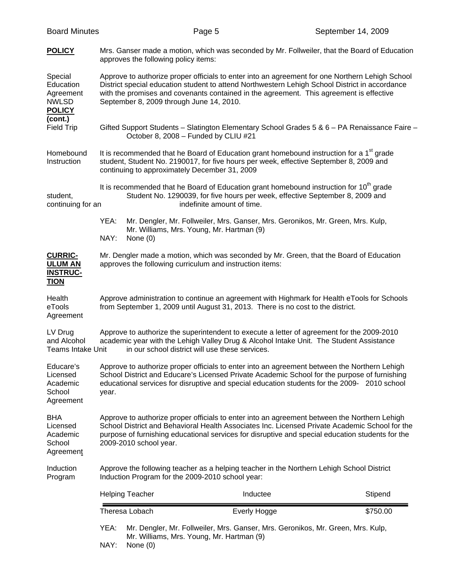| <b>Board Minutes</b>                                               |                                                                                                                                               | Page 5                                                                                                                                                                                                                                                                                             | September 14, 2009 |
|--------------------------------------------------------------------|-----------------------------------------------------------------------------------------------------------------------------------------------|----------------------------------------------------------------------------------------------------------------------------------------------------------------------------------------------------------------------------------------------------------------------------------------------------|--------------------|
| <b>POLICY</b>                                                      | approves the following policy items:                                                                                                          | Mrs. Ganser made a motion, which was seconded by Mr. Follweiler, that the Board of Education                                                                                                                                                                                                       |                    |
| Special<br>Education<br>Agreement<br><b>NWLSD</b><br><b>POLICY</b> | September 8, 2009 through June 14, 2010.                                                                                                      | Approve to authorize proper officials to enter into an agreement for one Northern Lehigh School<br>District special education student to attend Northwestern Lehigh School District in accordance<br>with the promises and covenants contained in the agreement. This agreement is effective       |                    |
| (cont.)<br><b>Field Trip</b>                                       | October 8, 2008 - Funded by CLIU #21                                                                                                          | Gifted Support Students - Slatington Elementary School Grades 5 & 6 - PA Renaissance Faire -                                                                                                                                                                                                       |                    |
| Homebound<br>Instruction                                           | continuing to approximately December 31, 2009                                                                                                 | It is recommended that he Board of Education grant homebound instruction for a 1 <sup>st</sup> grade<br>student, Student No. 2190017, for five hours per week, effective September 8, 2009 and                                                                                                     |                    |
| student,<br>continuing for an                                      |                                                                                                                                               | It is recommended that he Board of Education grant homebound instruction for 10 <sup>th</sup> grade<br>Student No. 1290039, for five hours per week, effective September 8, 2009 and<br>indefinite amount of time.                                                                                 |                    |
|                                                                    | YEA:<br>NAY:<br>None $(0)$                                                                                                                    | Mr. Dengler, Mr. Follweiler, Mrs. Ganser, Mrs. Geronikos, Mr. Green, Mrs. Kulp,<br>Mr. Williams, Mrs. Young, Mr. Hartman (9)                                                                                                                                                                       |                    |
| <b>CURRIC-</b><br><b>ULUM AN</b><br><b>INSTRUC-</b><br><b>TION</b> | approves the following curriculum and instruction items:                                                                                      | Mr. Dengler made a motion, which was seconded by Mr. Green, that the Board of Education                                                                                                                                                                                                            |                    |
| Health<br>eTools<br>Agreement                                      |                                                                                                                                               | Approve administration to continue an agreement with Highmark for Health eTools for Schools<br>from September 1, 2009 until August 31, 2013. There is no cost to the district.                                                                                                                     |                    |
| LV Drug<br>and Alcohol<br><b>Teams Intake Unit</b>                 |                                                                                                                                               | Approve to authorize the superintendent to execute a letter of agreement for the 2009-2010<br>academic year with the Lehigh Valley Drug & Alcohol Intake Unit. The Student Assistance<br>in our school district will use these services.                                                           |                    |
| Educare's<br>Licensed<br>Academic<br>School<br>Agreement           | year.                                                                                                                                         | Approve to authorize proper officials to enter into an agreement between the Northern Lehigh<br>School District and Educare's Licensed Private Academic School for the purpose of furnishing<br>educational services for disruptive and special education students for the 2009- 2010 school       |                    |
| <b>BHA</b><br>Licensed<br>Academic<br>School<br>Agreement          | 2009-2010 school year.                                                                                                                        | Approve to authorize proper officials to enter into an agreement between the Northern Lehigh<br>School District and Behavioral Health Associates Inc. Licensed Private Academic School for the<br>purpose of furnishing educational services for disruptive and special education students for the |                    |
| Induction<br>Program                                               | Approve the following teacher as a helping teacher in the Northern Lehigh School District<br>Induction Program for the 2009-2010 school year: |                                                                                                                                                                                                                                                                                                    |                    |
|                                                                    | <b>Helping Teacher</b>                                                                                                                        | Inductee                                                                                                                                                                                                                                                                                           | Stipend            |
|                                                                    | Theresa Lobach                                                                                                                                | Everly Hogge                                                                                                                                                                                                                                                                                       | \$750.00           |
|                                                                    | YEA:<br>NAY:<br>None (0)                                                                                                                      | Mr. Dengler, Mr. Follweiler, Mrs. Ganser, Mrs. Geronikos, Mr. Green, Mrs. Kulp,<br>Mr. Williams, Mrs. Young, Mr. Hartman (9)                                                                                                                                                                       |                    |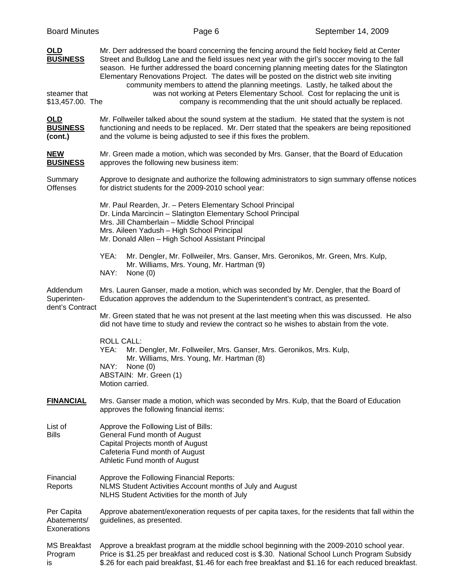| OLD<br><b>BUSINESS</b><br>steamer that<br>\$13,457.00. The | Mr. Derr addressed the board concerning the fencing around the field hockey field at Center<br>Street and Bulldog Lane and the field issues next year with the girl's soccer moving to the fall<br>season. He further addressed the board concerning planning meeting dates for the Slatington<br>Elementary Renovations Project. The dates will be posted on the district web site inviting<br>community members to attend the planning meetings. Lastly, he talked about the<br>was not working at Peters Elementary School. Cost for replacing the unit is<br>company is recommending that the unit should actually be replaced. |
|------------------------------------------------------------|-------------------------------------------------------------------------------------------------------------------------------------------------------------------------------------------------------------------------------------------------------------------------------------------------------------------------------------------------------------------------------------------------------------------------------------------------------------------------------------------------------------------------------------------------------------------------------------------------------------------------------------|
| <b>OLD</b><br><b>BUSINESS</b><br>(cont.)                   | Mr. Follweiler talked about the sound system at the stadium. He stated that the system is not<br>functioning and needs to be replaced. Mr. Derr stated that the speakers are being repositioned<br>and the volume is being adjusted to see if this fixes the problem.                                                                                                                                                                                                                                                                                                                                                               |
| <b>NEW</b><br><b>BUSINESS</b>                              | Mr. Green made a motion, which was seconded by Mrs. Ganser, that the Board of Education<br>approves the following new business item:                                                                                                                                                                                                                                                                                                                                                                                                                                                                                                |
| Summary<br><b>Offenses</b>                                 | Approve to designate and authorize the following administrators to sign summary offense notices<br>for district students for the 2009-2010 school year:                                                                                                                                                                                                                                                                                                                                                                                                                                                                             |
|                                                            | Mr. Paul Rearden, Jr. - Peters Elementary School Principal<br>Dr. Linda Marcincin - Slatington Elementary School Principal<br>Mrs. Jill Chamberlain - Middle School Principal<br>Mrs. Aileen Yadush - High School Principal<br>Mr. Donald Allen - High School Assistant Principal                                                                                                                                                                                                                                                                                                                                                   |
|                                                            | YEA:<br>Mr. Dengler, Mr. Follweiler, Mrs. Ganser, Mrs. Geronikos, Mr. Green, Mrs. Kulp,<br>Mr. Williams, Mrs. Young, Mr. Hartman (9)<br>NAY:<br>None $(0)$                                                                                                                                                                                                                                                                                                                                                                                                                                                                          |
| Addendum<br>Superinten-<br>dent's Contract                 | Mrs. Lauren Ganser, made a motion, which was seconded by Mr. Dengler, that the Board of<br>Education approves the addendum to the Superintendent's contract, as presented.                                                                                                                                                                                                                                                                                                                                                                                                                                                          |
|                                                            | Mr. Green stated that he was not present at the last meeting when this was discussed. He also<br>did not have time to study and review the contract so he wishes to abstain from the vote.                                                                                                                                                                                                                                                                                                                                                                                                                                          |
|                                                            | <b>ROLL CALL:</b><br>YEA:<br>Mr. Dengler, Mr. Follweiler, Mrs. Ganser, Mrs. Geronikos, Mrs. Kulp,<br>Mr. Williams, Mrs. Young, Mr. Hartman (8)<br>NAY:<br>None $(0)$<br>ABSTAIN: Mr. Green (1)<br>Motion carried.                                                                                                                                                                                                                                                                                                                                                                                                                   |
| <b>FINANCIAL</b>                                           | Mrs. Ganser made a motion, which was seconded by Mrs. Kulp, that the Board of Education<br>approves the following financial items:                                                                                                                                                                                                                                                                                                                                                                                                                                                                                                  |
| List of<br><b>Bills</b>                                    | Approve the Following List of Bills:<br>General Fund month of August<br>Capital Projects month of August<br>Cafeteria Fund month of August<br>Athletic Fund month of August                                                                                                                                                                                                                                                                                                                                                                                                                                                         |
| Financial<br>Reports                                       | Approve the Following Financial Reports:<br>NLMS Student Activities Account months of July and August<br>NLHS Student Activities for the month of July                                                                                                                                                                                                                                                                                                                                                                                                                                                                              |
| Per Capita<br>Abatements/<br>Exonerations                  | Approve abatement/exoneration requests of per capita taxes, for the residents that fall within the<br>guidelines, as presented.                                                                                                                                                                                                                                                                                                                                                                                                                                                                                                     |
| <b>MS Breakfast</b><br>Program<br>is                       | Approve a breakfast program at the middle school beginning with the 2009-2010 school year.<br>Price is \$1.25 per breakfast and reduced cost is \$.30. National School Lunch Program Subsidy<br>\$.26 for each paid breakfast, \$1.46 for each free breakfast and \$1.16 for each reduced breakfast.                                                                                                                                                                                                                                                                                                                                |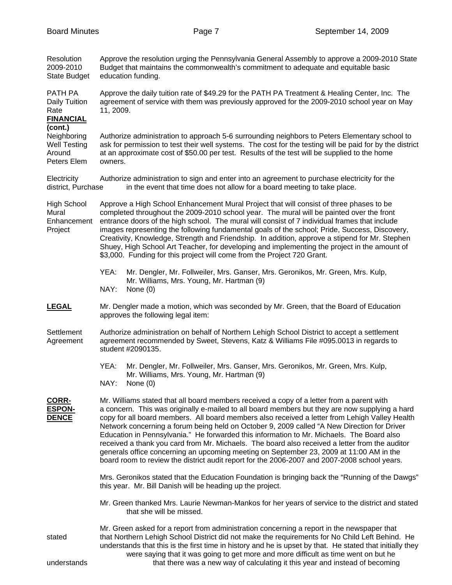| Resolution<br>2009-2010<br><b>State Budget</b>                         | Approve the resolution urging the Pennsylvania General Assembly to approve a 2009-2010 State<br>Budget that maintains the commonwealth's commitment to adequate and equitable basic<br>education funding.                                                                                                                                                                                                                                                                                                                                                                                                                                                                                                                                                                              |  |
|------------------------------------------------------------------------|----------------------------------------------------------------------------------------------------------------------------------------------------------------------------------------------------------------------------------------------------------------------------------------------------------------------------------------------------------------------------------------------------------------------------------------------------------------------------------------------------------------------------------------------------------------------------------------------------------------------------------------------------------------------------------------------------------------------------------------------------------------------------------------|--|
| PATH PA<br>Daily Tuition<br>Rate<br><b>FINANCIAL</b>                   | Approve the daily tuition rate of \$49.29 for the PATH PA Treatment & Healing Center, Inc. The<br>agreement of service with them was previously approved for the 2009-2010 school year on May<br>11, 2009.                                                                                                                                                                                                                                                                                                                                                                                                                                                                                                                                                                             |  |
| (cont.)<br>Neighboring<br><b>Well Testing</b><br>Around<br>Peters Elem | Authorize administration to approach 5-6 surrounding neighbors to Peters Elementary school to<br>ask for permission to test their well systems. The cost for the testing will be paid for by the district<br>at an approximate cost of \$50.00 per test. Results of the test will be supplied to the home<br>owners.                                                                                                                                                                                                                                                                                                                                                                                                                                                                   |  |
| Electricity<br>district, Purchase                                      | Authorize administration to sign and enter into an agreement to purchase electricity for the<br>in the event that time does not allow for a board meeting to take place.                                                                                                                                                                                                                                                                                                                                                                                                                                                                                                                                                                                                               |  |
| <b>High School</b><br>Mural<br>Enhancement<br>Project                  | Approve a High School Enhancement Mural Project that will consist of three phases to be<br>completed throughout the 2009-2010 school year. The mural will be painted over the front<br>entrance doors of the high school. The mural will consist of 7 individual frames that include<br>images representing the following fundamental goals of the school; Pride, Success, Discovery,<br>Creativity, Knowledge, Strength and Friendship. In addition, approve a stipend for Mr. Stephen<br>Shuey, High School Art Teacher, for developing and implementing the project in the amount of<br>\$3,000. Funding for this project will come from the Project 720 Grant.                                                                                                                     |  |
|                                                                        | YEA:<br>Mr. Dengler, Mr. Follweiler, Mrs. Ganser, Mrs. Geronikos, Mr. Green, Mrs. Kulp,<br>Mr. Williams, Mrs. Young, Mr. Hartman (9)<br>NAY:<br>None $(0)$                                                                                                                                                                                                                                                                                                                                                                                                                                                                                                                                                                                                                             |  |
| <b>LEGAL</b>                                                           | Mr. Dengler made a motion, which was seconded by Mr. Green, that the Board of Education<br>approves the following legal item:                                                                                                                                                                                                                                                                                                                                                                                                                                                                                                                                                                                                                                                          |  |
| Settlement<br>Agreement                                                | Authorize administration on behalf of Northern Lehigh School District to accept a settlement<br>agreement recommended by Sweet, Stevens, Katz & Williams File #095.0013 in regards to<br>student #2090135.                                                                                                                                                                                                                                                                                                                                                                                                                                                                                                                                                                             |  |
|                                                                        | YEA:<br>Mr. Dengler, Mr. Follweiler, Mrs. Ganser, Mrs. Geronikos, Mr. Green, Mrs. Kulp,<br>Mr. Williams, Mrs. Young, Mr. Hartman (9)<br>NAY:<br>None (0)                                                                                                                                                                                                                                                                                                                                                                                                                                                                                                                                                                                                                               |  |
| <b>CORR-</b><br><b>ESPON-</b><br><b>DENCE</b>                          | Mr. Williams stated that all board members received a copy of a letter from a parent with<br>a concern. This was originally e-mailed to all board members but they are now supplying a hard<br>copy for all board members. All board members also received a letter from Lehigh Valley Health<br>Network concerning a forum being held on October 9, 2009 called "A New Direction for Driver<br>Education in Pennsylvania." He forwarded this information to Mr. Michaels. The Board also<br>received a thank you card from Mr. Michaels. The board also received a letter from the auditor<br>generals office concerning an upcoming meeting on September 23, 2009 at 11:00 AM in the<br>board room to review the district audit report for the 2006-2007 and 2007-2008 school years. |  |
|                                                                        | Mrs. Geronikos stated that the Education Foundation is bringing back the "Running of the Dawgs"<br>this year. Mr. Bill Danish will be heading up the project.                                                                                                                                                                                                                                                                                                                                                                                                                                                                                                                                                                                                                          |  |
|                                                                        | Mr. Green thanked Mrs. Laurie Newman-Mankos for her years of service to the district and stated<br>that she will be missed.                                                                                                                                                                                                                                                                                                                                                                                                                                                                                                                                                                                                                                                            |  |
| stated<br>understands                                                  | Mr. Green asked for a report from administration concerning a report in the newspaper that<br>that Northern Lehigh School District did not make the requirements for No Child Left Behind. He<br>understands that this is the first time in history and he is upset by that. He stated that initially they<br>were saying that it was going to get more and more difficult as time went on but he<br>that there was a new way of calculating it this year and instead of becoming                                                                                                                                                                                                                                                                                                      |  |